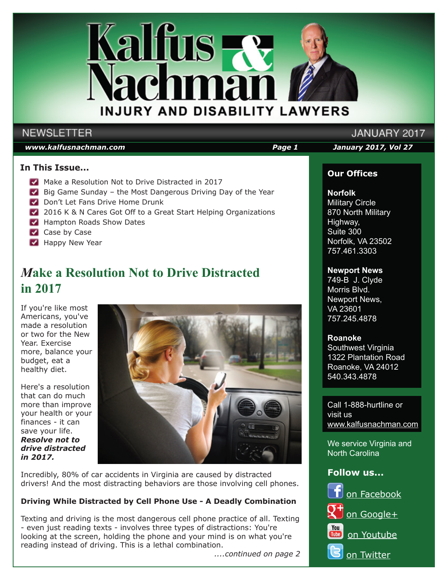

## **NEWSLETTER**

#### *www.kalfusnachman.com Page 1 January 2017, Vol 27*

JANUARY 2017

## **In This Issue...**

- Make a Resolution Not to Drive Distracted in 2017
- Big Game Sunday the Most Dangerous Driving Day of the Year
- Don't Let Fans Drive Home Drunk
- 2016 K & N Cares Got Off to a Great Start Helping Organizations
- **Hampton Roads Show Dates**
- Case by Case
- **Happy New Year**

## *M***ake a Resolution Not to Drive Distracted in 2017**

If you're like most Americans, you've made a resolution or two for the New Year. Exercise more, balance your budget, eat a healthy diet.

Here's a resolution that can do much more than improve your health or your finances - it can save your life. *Resolve not to drive distracted in 2017.*



Incredibly, 80% of car accidents in Virginia are caused by distracted drivers! And the most distracting behaviors are those involving cell phones.

## **Driving While Distracted by Cell Phone Use - A Deadly Combination**

Texting and driving is the most dangerous cell phone practice of all. Texting - even just reading texts - involves three types of distractions: You're looking at the screen, holding the phone and your mind is on what you're reading instead of driving. This is a lethal combination.

*....continued on page 2*

## **Our Offices**

### **Norfolk**

Military Circle 870 North Military Highway, Suite 300 Norfolk, VA 23502 757.461.3303

#### **Newport News**

749-B J. Clyde Morris Blvd. Newport News, VA 23601 757.245.4878

#### **Roanoke**

Southwest Virginia 1322 Plantation Road Roanoke, VA 24012 540.343.4878

Call 1-888-hurtline or visit us www.kalfusnachman.com

We service Virginia and North Carolina

## **Follow us...**

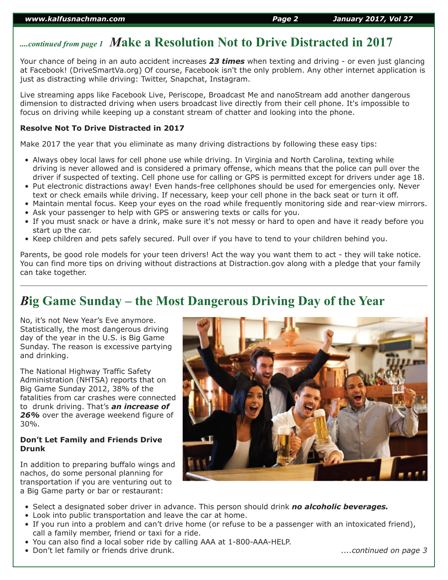## *....continued from page 1 M***ake a Resolution Not to Drive Distracted in 2017**

Your chance of being in an auto accident increases *23 times* when texting and driving - or even just glancing at Facebook! (DriveSmartVa.org) Of course, Facebook isn't the only problem. Any other internet application is just as distracting while driving: Twitter, Snapchat, Instagram.

Live streaming apps like Facebook Live, Periscope, Broadcast Me and nanoStream add another dangerous dimension to distracted driving when users broadcast live directly from their cell phone. It's impossible to focus on driving while keeping up a constant stream of chatter and looking into the phone.

#### **Resolve Not To Drive Distracted in 2017**

Make 2017 the year that you eliminate as many driving distractions by following these easy tips:

- Always obey local laws for cell phone use while driving. In Virginia and North Carolina, texting while driving is never allowed and is considered a primary offense, which means that the police can pull over the driver if suspected of texting. Cell phone use for calling or GPS is permitted except for drivers under age 18.
- Put electronic distractions away! Even hands-free cellphones should be used for emergencies only. Never text or check emails while driving. If necessary, keep your cell phone in the back seat or turn it off.
- Maintain mental focus. Keep your eyes on the road while frequently monitoring side and rear-view mirrors. • Ask your passenger to help with GPS or answering texts or calls for you.
- If you must snack or have a drink, make sure it's not messy or hard to open and have it ready before you start up the car.
- Keep children and pets safely secured. Pull over if you have to tend to your children behind you.

Parents, be good role models for your teen drivers! Act the way you want them to act - they will take notice. You can find more tips on driving without distractions at Distraction.gov along with a pledge that your family can take together.

## *B***ig Game Sunday – the Most Dangerous Driving Day of the Year**

No, it's not New Year's Eve anymore. Statistically, the most dangerous driving day of the year in the U.S. is Big Game Sunday. The reason is excessive partying and drinking.

The National Highway Traffic Safety Administration (NHTSA) reports that on Big Game Sunday 2012, 38% of the fatalities from car crashes were connected to drunk driving. That's *an increase of 26%* over the average weekend figure of 30%.

#### **Don't Let Family and Friends Drive Drunk**

In addition to preparing buffalo wings and nachos, do some personal planning for transportation if you are venturing out to a Big Game party or bar or restaurant:



- Select a designated sober driver in advance. This person should drink *no alcoholic beverages.*
- Look into public transportation and leave the car at home.
- If you run into a problem and can't drive home (or refuse to be a passenger with an intoxicated friend), call a family member, friend or taxi for a ride.
- You can also find a local sober ride by calling AAA at 1-800-AAA-HELP.
- Don't let family or friends drive drunk. *....continued on page 3*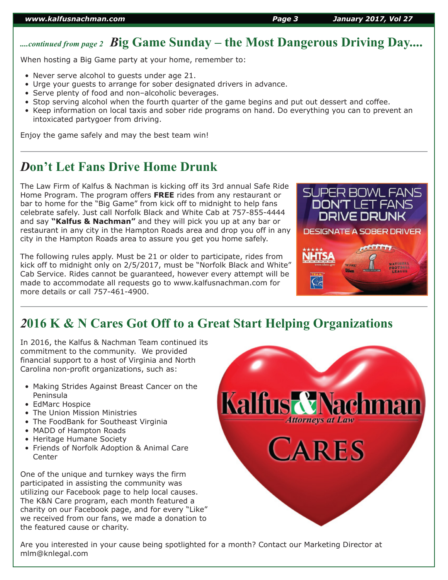# *....continued from page 2 B***ig Game Sunday – the Most Dangerous Driving Day....**

When hosting a Big Game party at your home, remember to:

- Never serve alcohol to guests under age 21.
- Urge your guests to arrange for sober designated drivers in advance.
- Serve plenty of food and non–alcoholic beverages.
- Stop serving alcohol when the fourth quarter of the game begins and put out dessert and coffee.
- Keep information on local taxis and sober ride programs on hand. Do everything you can to prevent an intoxicated partygoer from driving.

Enjoy the game safely and may the best team win!

## *D***on't Let Fans Drive Home Drunk**

The Law Firm of Kalfus & Nachman is kicking off its 3rd annual Safe Ride Home Program. The program offers **FREE** rides from any restaurant or bar to home for the "Big Game" from kick off to midnight to help fans celebrate safely. Just call Norfolk Black and White Cab at 757-855-4444 and say **"Kalfus & Nachman"** and they will pick you up at any bar or restaurant in any city in the Hampton Roads area and drop you off in any city in the Hampton Roads area to assure you get you home safely.

The following rules apply. Must be 21 or older to participate, rides from kick off to midnight only on 2/5/2017, must be "Norfolk Black and White" Cab Service. Rides cannot be guaranteed, however every attempt will be made to accommodate all requests go to www.kalfusnachman.com for more details or call 757-461-4900.



## *2***016 K & N Cares Got Off to a Great Start Helping Organizations**

In 2016, the Kalfus & Nachman Team continued its commitment to the community. We provided financial support to a host of Virginia and North Carolina non-profit organizations, such as:

- Making Strides Against Breast Cancer on the Peninsula
- EdMarc Hospice
- The Union Mission Ministries
- The FoodBank for Southeast Virginia
- MADD of Hampton Roads
- Heritage Humane Society
- Friends of Norfolk Adoption & Animal Care **Center**

One of the unique and turnkey ways the firm participated in assisting the community was utilizing our Facebook page to help local causes. The K&N Care program, each month featured a charity on our Facebook page, and for every "Like" we received from our fans, we made a donation to the featured cause or charity.



Are you interested in your cause being spotlighted for a month? Contact our Marketing Director at mlm@knlegal.com